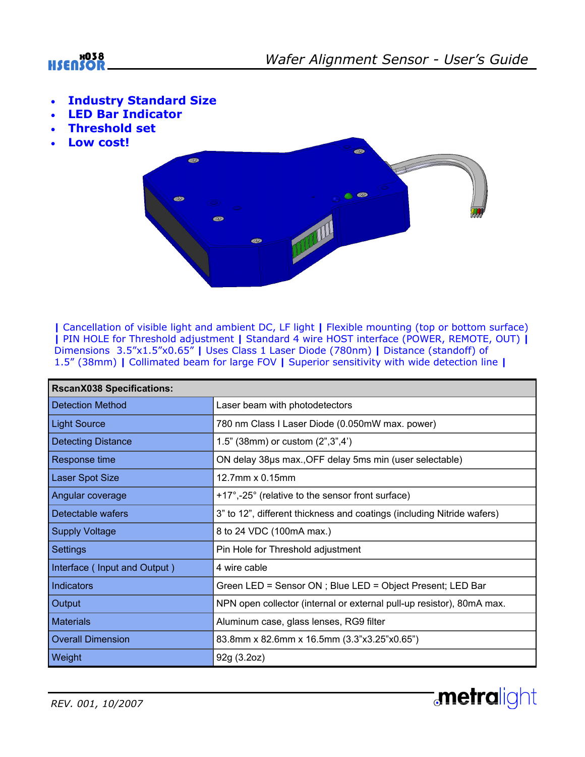

**metralight** 

- **Industry Standard Size**
- **LED Bar Indicator**
- **Threshold set**
- **Low cost!**



**|** Cancellation of visible light and ambient DC, LF light **|** Flexible mounting (top or bottom surface) **|** PIN HOLE for Threshold adjustment **|** Standard 4 wire HOST interface (POWER, REMOTE, OUT) **|** Dimensions 3.5"x1.5"x0.65" **|** Uses Class 1 Laser Diode (780nm) **|** Distance (standoff) of 1.5" (38mm) **|** Collimated beam for large FOV **|** Superior sensitivity with wide detection line **|**

| <b>RscanX038 Specifications:</b> |                                                                        |
|----------------------------------|------------------------------------------------------------------------|
| <b>Detection Method</b>          | Laser beam with photodetectors                                         |
| <b>Light Source</b>              | 780 nm Class I Laser Diode (0.050mW max. power)                        |
| <b>Detecting Distance</b>        | 1.5" (38mm) or custom (2", 3", 4")                                     |
| Response time                    | ON delay 38µs max., OFF delay 5ms min (user selectable)                |
| <b>Laser Spot Size</b>           | 12.7mm x 0.15mm                                                        |
| Angular coverage                 | +17°,-25° (relative to the sensor front surface)                       |
| Detectable wafers                | 3" to 12", different thickness and coatings (including Nitride wafers) |
| <b>Supply Voltage</b>            | 8 to 24 VDC (100mA max.)                                               |
| <b>Settings</b>                  | Pin Hole for Threshold adjustment                                      |
| Interface (Input and Output)     | 4 wire cable                                                           |
| Indicators                       | Green LED = Sensor ON ; Blue LED = Object Present; LED Bar             |
| Output                           | NPN open collector (internal or external pull-up resistor), 80mA max.  |
| <b>Materials</b>                 | Aluminum case, glass lenses, RG9 filter                                |
| <b>Overall Dimension</b>         | 83.8mm x 82.6mm x 16.5mm (3.3"x3.25"x0.65")                            |
| Weight                           | 92g (3.2oz)                                                            |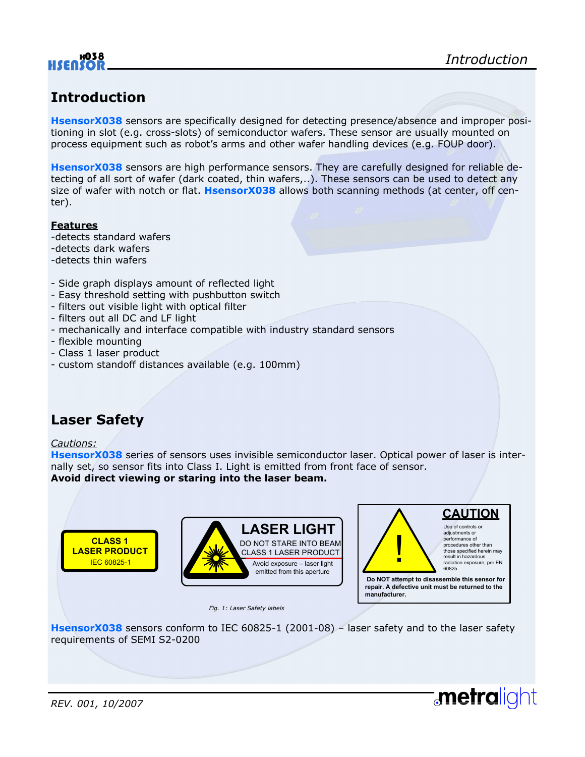

## **Introduction**

**HsensorX038** sensors are specifically designed for detecting presence/absence and improper positioning in slot (e.g. cross-slots) of semiconductor wafers. These sensor are usually mounted on process equipment such as robot's arms and other wafer handling devices (e.g. FOUP door).

**HsensorX038** sensors are high performance sensors. They are carefully designed for reliable detecting of all sort of wafer (dark coated, thin wafers,..). These sensors can be used to detect any size of wafer with notch or flat. **HsensorX038** allows both scanning methods (at center, off center).

#### **Features**

- -detects standard wafers
- -detects dark wafers
- -detects thin wafers
- Side graph displays amount of reflected light
- Easy threshold setting with pushbutton switch
- filters out visible light with optical filter
- filters out all DC and LF light
- mechanically and interface compatible with industry standard sensors
- flexible mounting
- Class 1 laser product
- custom standoff distances available (e.g. 100mm)

### **Laser Safety**

#### *Cautions:*

**HsensorX038** series of sensors uses invisible semiconductor laser. Optical power of laser is internally set, so sensor fits into Class I. Light is emitted from front face of sensor. **Avoid direct viewing or staring into the laser beam.** 



*Fig. 1: Laser Safety labels* 



**repair. A defective unit must be returned to the manufacturer.**

**metralight** 

**HsensorX038** sensors conform to IEC 60825-1 (2001-08) – laser safety and to the laser safety requirements of SEMI S2-0200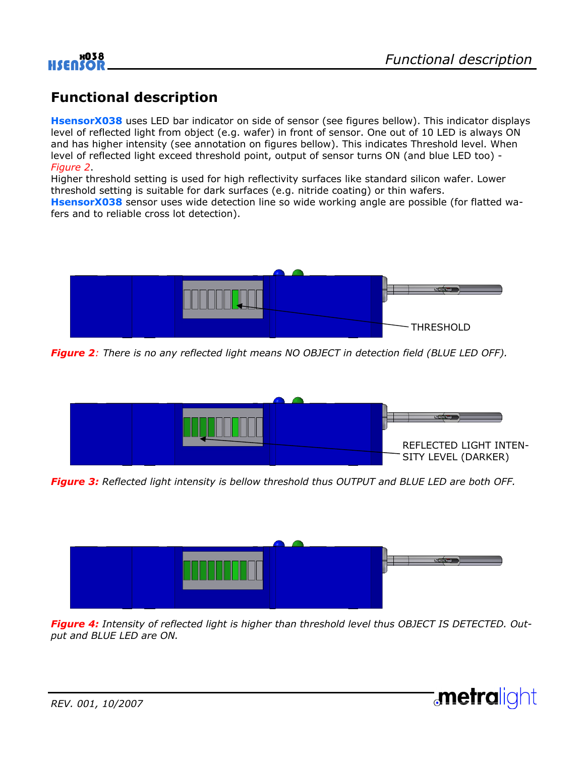

**metralight** 

### **Functional description**

**HsensorX038** uses LED bar indicator on side of sensor (see figures bellow). This indicator displays level of reflected light from object (e.g. wafer) in front of sensor. One out of 10 LED is always ON and has higher intensity (see annotation on figures bellow). This indicates Threshold level. When level of reflected light exceed threshold point, output of sensor turns ON (and blue LED too) - *Figure 2*.

Higher threshold setting is used for high reflectivity surfaces like standard silicon wafer. Lower threshold setting is suitable for dark surfaces (e.g. nitride coating) or thin wafers.

**HsensorX038** sensor uses wide detection line so wide working angle are possible (for flatted wafers and to reliable cross lot detection).



*Figure 2: There is no any reflected light means NO OBJECT in detection field (BLUE LED OFF).* 



*Figure 3: Reflected light intensity is bellow threshold thus OUTPUT and BLUE LED are both OFF.* 



*Figure 4: Intensity of reflected light is higher than threshold level thus OBJECT IS DETECTED. Output and BLUE LED are ON.* 

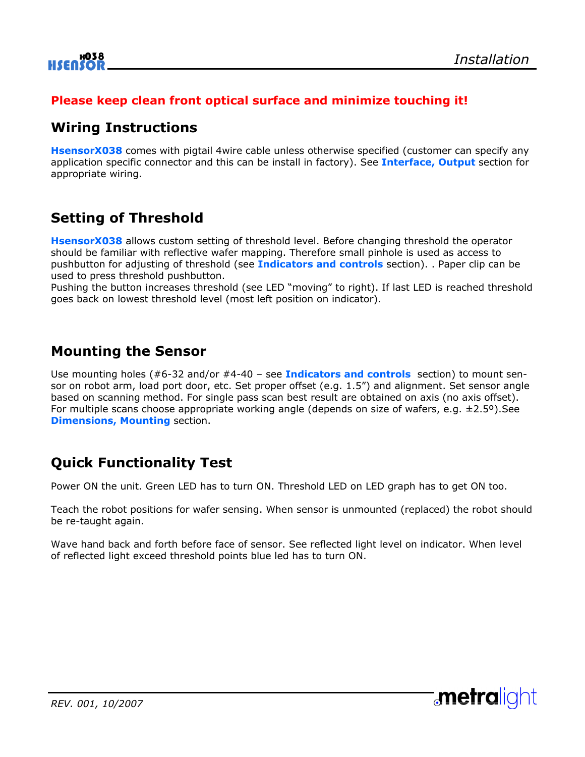#### **Please keep clean front optical surface and minimize touching it!**

### **Wiring Instructions**

**HsensorX038** comes with pigtail 4wire cable unless otherwise specified (customer can specify any application specific connector and this can be install in factory). See **Interface, Output** section for appropriate wiring.

## **Setting of Threshold**

**HsensorX038** allows custom setting of threshold level. Before changing threshold the operator should be familiar with reflective wafer mapping. Therefore small pinhole is used as access to pushbutton for adjusting of threshold (see **Indicators and controls** section). . Paper clip can be used to press threshold pushbutton.

Pushing the button increases threshold (see LED "moving" to right). If last LED is reached threshold goes back on lowest threshold level (most left position on indicator).

### **Mounting the Sensor**

Use mounting holes (#6-32 and/or #4-40 – see **Indicators and controls** section) to mount sensor on robot arm, load port door, etc. Set proper offset (e.g. 1.5") and alignment. Set sensor angle based on scanning method. For single pass scan best result are obtained on axis (no axis offset). For multiple scans choose appropriate working angle (depends on size of wafers, e.g.  $\pm 2.5^{\circ}$ ). See **Dimensions, Mounting** section.

### **Quick Functionality Test**

Power ON the unit. Green LED has to turn ON. Threshold LED on LED graph has to get ON too.

Teach the robot positions for wafer sensing. When sensor is unmounted (replaced) the robot should be re-taught again.

Wave hand back and forth before face of sensor. See reflected light level on indicator. When level of reflected light exceed threshold points blue led has to turn ON.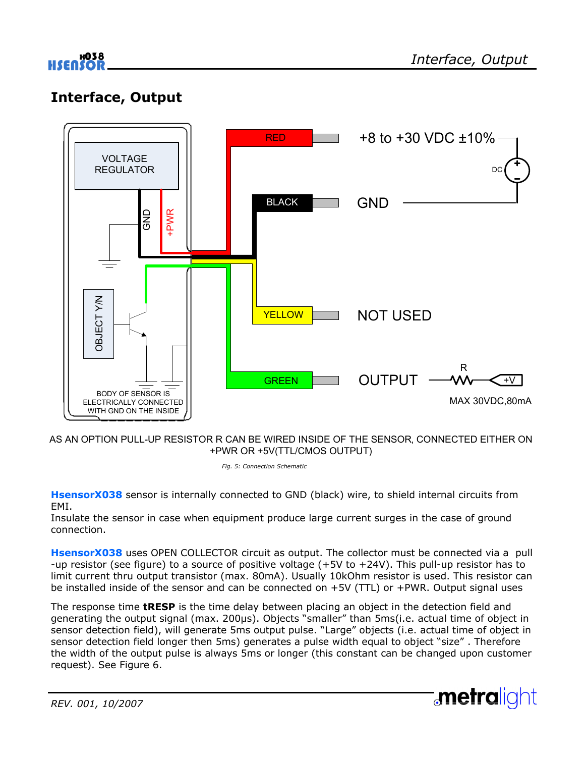## **Interface, Output**



AS AN OPTION PULL-UP RESISTOR R CAN BE WIRED INSIDE OF THE SENSOR, CONNECTED EITHER ON +PWR OR +5V(TTL/CMOS OUTPUT)

*Fig. 5: Connection Schematic* 

**HsensorX038** sensor is internally connected to GND (black) wire, to shield internal circuits from EMI.

Insulate the sensor in case when equipment produce large current surges in the case of ground connection.

**HsensorX038** uses OPEN COLLECTOR circuit as output. The collector must be connected via a pull -up resistor (see figure) to a source of positive voltage (+5V to +24V). This pull-up resistor has to limit current thru output transistor (max. 80mA). Usually 10kOhm resistor is used. This resistor can be installed inside of the sensor and can be connected on +5V (TTL) or +PWR. Output signal uses

The response time **tRESP** is the time delay between placing an object in the detection field and generating the output signal (max. 200µs). Objects "smaller" than 5ms(i.e. actual time of object in sensor detection field), will generate 5ms output pulse. "Large" objects (i.e. actual time of object in sensor detection field longer then 5ms) generates a pulse width equal to object "size" . Therefore the width of the output pulse is always 5ms or longer (this constant can be changed upon customer request). See Figure 6.

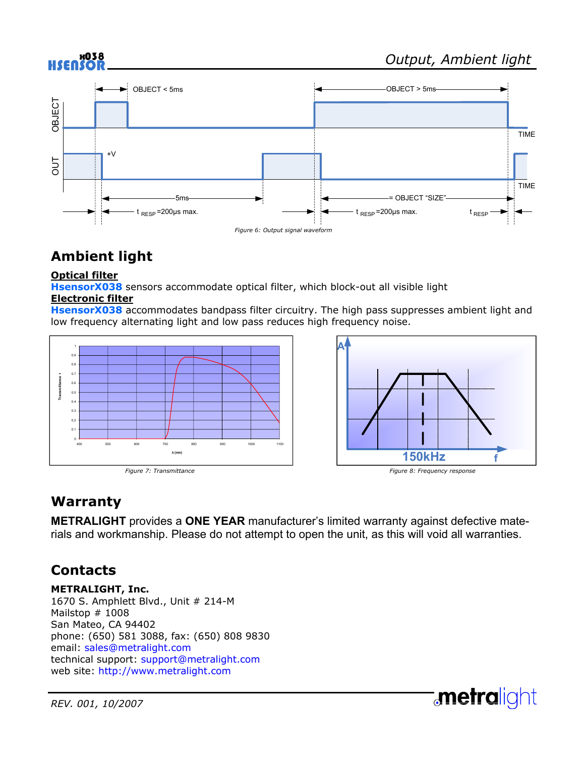

# **Ambient light**

#### **Optical filter**

**HsensorX038** sensors accommodate optical filter, which block-out all visible light

#### **Electronic filter**

**HsensorX038** accommodates bandpass filter circuitry. The high pass suppresses ambient light and low frequency alternating light and low pass reduces high frequency noise.





# **Warranty**

**METRALIGHT** provides a **ONE YEAR** manufacturer's limited warranty against defective materials and workmanship. Please do not attempt to open the unit, as this will void all warranties.

### **Contacts**

**METRALIGHT, Inc.**  1670 S. Amphlett Blvd., Unit # 214-M Mailstop # 1008 San Mateo, CA 94402 phone: (650) 581 3088, fax: (650) 808 9830 email: sales@metralight.com technical support: support@metralight.com web site: http://www.metralight.com

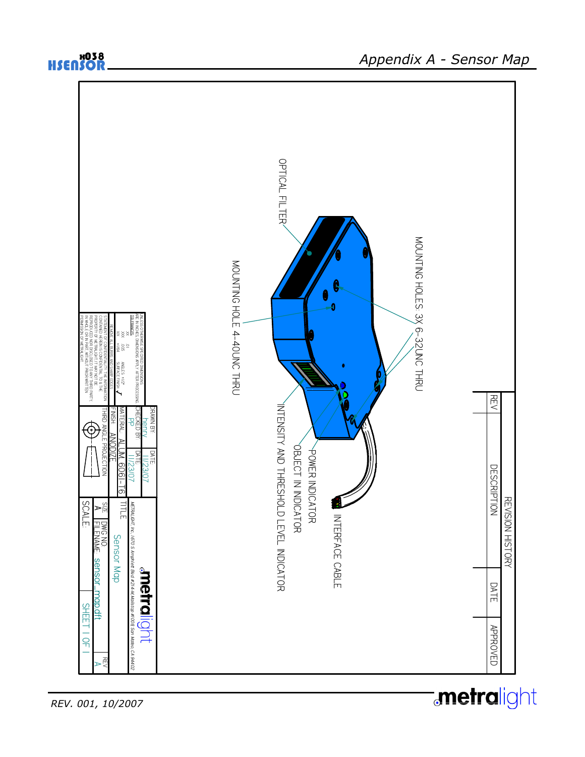